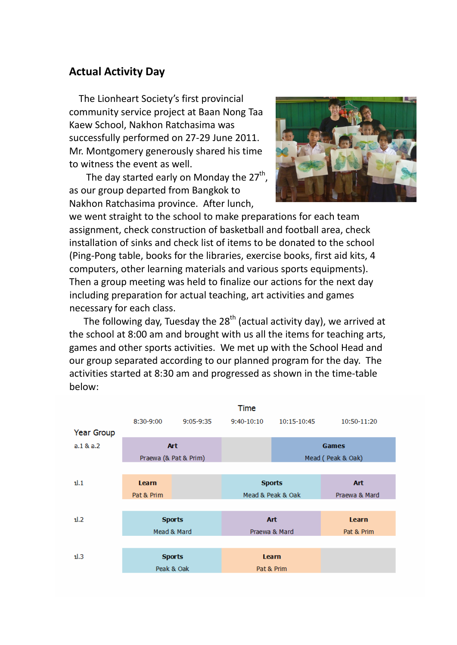## **Actual Activity Day**

 The Lionheart Society's first provincial community service project at Baan Nong Taa Kaew School, Nakhon Ratchasima was successfully performed on 27‐29 June 2011. Mr. Montgomery generously shared his time to witness the event as well.

The day started early on Monday the  $27<sup>th</sup>$ , as our group departed from Bangkok to Nakhon Ratchasima province. After lunch,



we went straight to the school to make preparations for each team assignment, check construction of basketball and football area, check installation of sinks and check list of items to be donated to the school (Ping‐Pong table, books for the libraries, exercise books, first aid kits, 4 computers, other learning materials and various sports equipments). Then a group meeting was held to finalize our actions for the next day including preparation for actual teaching, art activities and games necessary for each class.

The following day, Tuesday the  $28<sup>th</sup>$  (actual activity day), we arrived at the school at 8:00 am and brought with us all the items for teaching arts, games and other sports activities. We met up with the School Head and our group separated according to our planned program for the day. The activities started at 8:30 am and progressed as shown in the time‐table below: